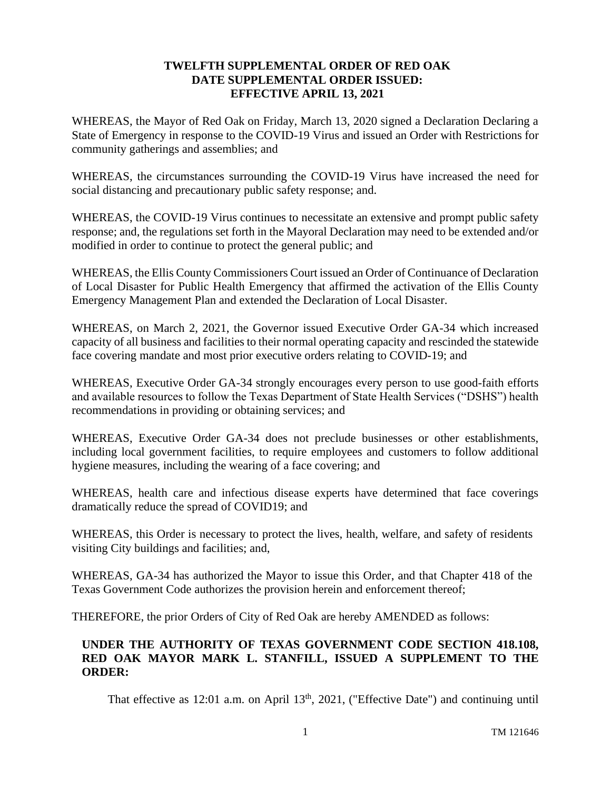## **TWELFTH SUPPLEMENTAL ORDER OF RED OAK DATE SUPPLEMENTAL ORDER ISSUED: EFFECTIVE APRIL 13, 2021**

WHEREAS, the Mayor of Red Oak on Friday, March 13, 2020 signed a Declaration Declaring a State of Emergency in response to the COVID-19 Virus and issued an Order with Restrictions for community gatherings and assemblies; and

WHEREAS, the circumstances surrounding the COVID-19 Virus have increased the need for social distancing and precautionary public safety response; and.

WHEREAS, the COVID-19 Virus continues to necessitate an extensive and prompt public safety response; and, the regulations set forth in the Mayoral Declaration may need to be extended and/or modified in order to continue to protect the general public; and

WHEREAS, the Ellis County Commissioners Court issued an Order of Continuance of Declaration of Local Disaster for Public Health Emergency that affirmed the activation of the Ellis County Emergency Management Plan and extended the Declaration of Local Disaster.

WHEREAS, on March 2, 2021, the Governor issued Executive Order GA-34 which increased capacity of all business and facilities to their normal operating capacity and rescinded the statewide face covering mandate and most prior executive orders relating to COVID-19; and

WHEREAS, Executive Order GA-34 strongly encourages every person to use good-faith efforts and available resources to follow the Texas Department of State Health Services ("DSHS") health recommendations in providing or obtaining services; and

WHEREAS, Executive Order GA-34 does not preclude businesses or other establishments, including local government facilities, to require employees and customers to follow additional hygiene measures, including the wearing of a face covering; and

WHEREAS, health care and infectious disease experts have determined that face coverings dramatically reduce the spread of COVID19; and

WHEREAS, this Order is necessary to protect the lives, health, welfare, and safety of residents visiting City buildings and facilities; and,

WHEREAS, GA-34 has authorized the Mayor to issue this Order, and that Chapter 418 of the Texas Government Code authorizes the provision herein and enforcement thereof;

THEREFORE, the prior Orders of City of Red Oak are hereby AMENDED as follows:

## **UNDER THE AUTHORITY OF TEXAS GOVERNMENT CODE SECTION 418.108, RED OAK MAYOR MARK L. STANFILL, ISSUED A SUPPLEMENT TO THE ORDER:**

That effective as 12:01 a.m. on April  $13<sup>th</sup>$ , 2021, ("Effective Date") and continuing until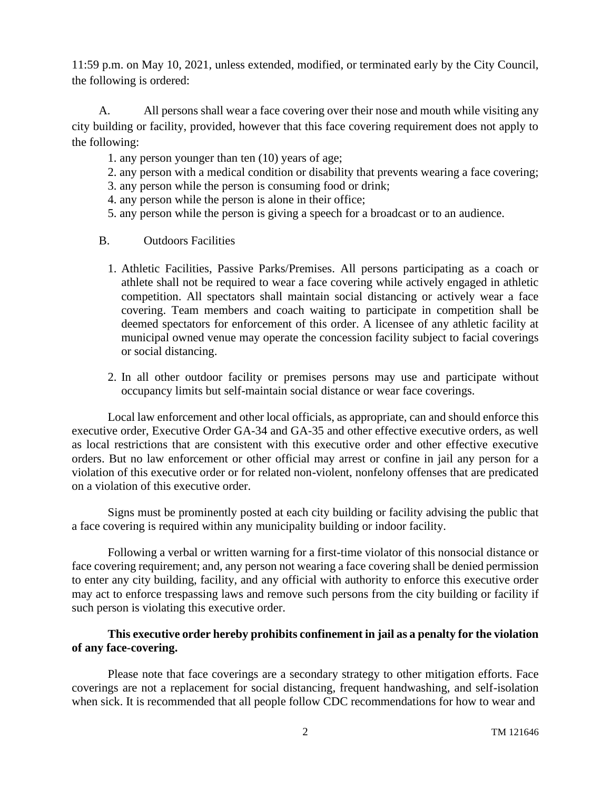11:59 p.m. on May 10, 2021, unless extended, modified, or terminated early by the City Council, the following is ordered:

A. All persons shall wear a face covering over their nose and mouth while visiting any city building or facility, provided, however that this face covering requirement does not apply to the following:

- 1. any person younger than ten (10) years of age;
- 2. any person with a medical condition or disability that prevents wearing a face covering;
- 3. any person while the person is consuming food or drink;
- 4. any person while the person is alone in their office;
- 5. any person while the person is giving a speech for a broadcast or to an audience.
- B. Outdoors Facilities
	- 1. Athletic Facilities, Passive Parks/Premises. All persons participating as a coach or athlete shall not be required to wear a face covering while actively engaged in athletic competition. All spectators shall maintain social distancing or actively wear a face covering. Team members and coach waiting to participate in competition shall be deemed spectators for enforcement of this order. A licensee of any athletic facility at municipal owned venue may operate the concession facility subject to facial coverings or social distancing.
	- 2. In all other outdoor facility or premises persons may use and participate without occupancy limits but self-maintain social distance or wear face coverings.

Local law enforcement and other local officials, as appropriate, can and should enforce this executive order, Executive Order GA-34 and GA-35 and other effective executive orders, as well as local restrictions that are consistent with this executive order and other effective executive orders. But no law enforcement or other official may arrest or confine in jail any person for a violation of this executive order or for related non-violent, nonfelony offenses that are predicated on a violation of this executive order.

Signs must be prominently posted at each city building or facility advising the public that a face covering is required within any municipality building or indoor facility.

Following a verbal or written warning for a first-time violator of this nonsocial distance or face covering requirement; and, any person not wearing a face covering shall be denied permission to enter any city building, facility, and any official with authority to enforce this executive order may act to enforce trespassing laws and remove such persons from the city building or facility if such person is violating this executive order.

## **This executive order hereby prohibits confinement in jail as a penalty for the violation of any face-covering.**

Please note that face coverings are a secondary strategy to other mitigation efforts. Face coverings are not a replacement for social distancing, frequent handwashing, and self-isolation when sick. It is recommended that all people follow CDC recommendations for how to wear and